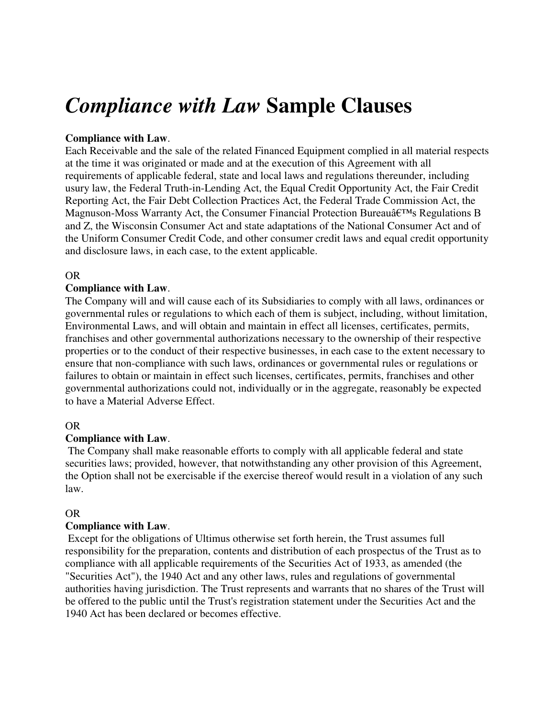# *Compliance with Law* **Sample Clauses**

## **Compliance with Law**.

Each Receivable and the sale of the related Financed Equipment complied in all material respects at the time it was originated or made and at the execution of this Agreement with all requirements of applicable federal, state and local laws and regulations thereunder, including usury law, the Federal Truth-in-Lending Act, the Equal Credit Opportunity Act, the Fair Credit Reporting Act, the Fair Debt Collection Practices Act, the Federal Trade Commission Act, the Magnuson-Moss Warranty Act, the Consumer Financial Protection Bureau $\hat{\mathbf{a}}$  Erms Regulations B and Z, the Wisconsin Consumer Act and state adaptations of the National Consumer Act and of the Uniform Consumer Credit Code, and other consumer credit laws and equal credit opportunity and disclosure laws, in each case, to the extent applicable.

#### OR

## **Compliance with Law**.

The Company will and will cause each of its Subsidiaries to comply with all laws, ordinances or governmental rules or regulations to which each of them is subject, including, without limitation, Environmental Laws, and will obtain and maintain in effect all licenses, certificates, permits, franchises and other governmental authorizations necessary to the ownership of their respective properties or to the conduct of their respective businesses, in each case to the extent necessary to ensure that non-compliance with such laws, ordinances or governmental rules or regulations or failures to obtain or maintain in effect such licenses, certificates, permits, franchises and other governmental authorizations could not, individually or in the aggregate, reasonably be expected to have a Material Adverse Effect.

#### OR

# **Compliance with Law**.

 The Company shall make reasonable efforts to comply with all applicable federal and state securities laws; provided, however, that notwithstanding any other provision of this Agreement, the Option shall not be exercisable if the exercise thereof would result in a violation of any such law.

#### OR

#### **Compliance with Law**.

 Except for the obligations of Ultimus otherwise set forth herein, the Trust assumes full responsibility for the preparation, contents and distribution of each prospectus of the Trust as to compliance with all applicable requirements of the Securities Act of 1933, as amended (the "Securities Act"), the 1940 Act and any other laws, rules and regulations of governmental authorities having jurisdiction. The Trust represents and warrants that no shares of the Trust will be offered to the public until the Trust's registration statement under the Securities Act and the 1940 Act has been declared or becomes effective.